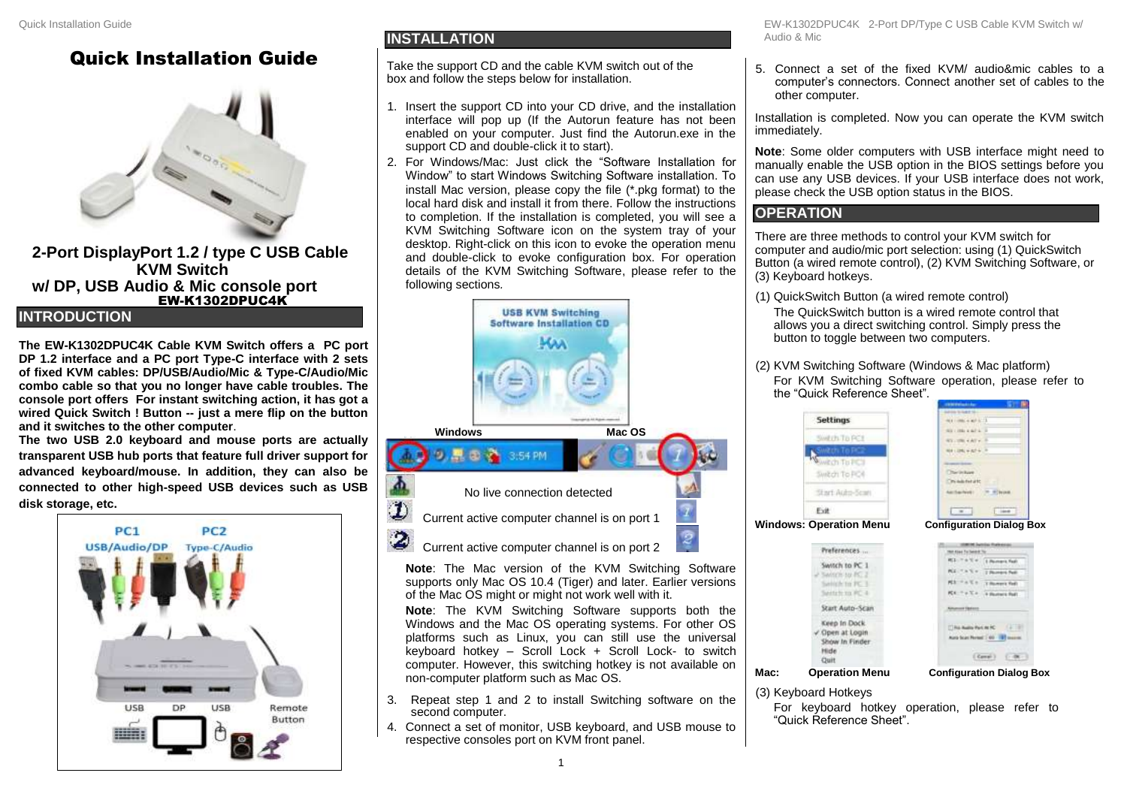# Quick Installation Guide



**2-Port DisplayPort 1.2 / type C USB Cable KVM Switch w/ DP, USB Audio & Mic console port** EW-K1302DPUC4K

### **INTRODUCTION**

**The EW-K1302DPUC4K Cable KVM Switch offers a PC port DP 1.2 interface and a PC port Type-C interface with 2 sets of fixed KVM cables: DP/USB/Audio/Mic & Type-C/Audio/Mic combo cable so that you no longer have cable troubles. The console port offers For instant switching action, it has got a wired Quick Switch ! Button -- just a mere flip on the button and it switches to the other computer**.

**The two USB 2.0 keyboard and mouse ports are actually transparent USB hub ports that feature full driver support for advanced keyboard/mouse. In addition, they can also be connected to other high-speed USB devices such as USB disk storage, etc.**



### **INSTALLATION**

Take the support CD and the cable KVM switch out of the box and follow the steps below for installation.

- 1. Insert the support CD into your CD drive, and the installation interface will pop up (If the Autorun feature has not been enabled on your computer. Just find the Autorun.exe in the support CD and double-click it to start).
- 2. For Windows/Mac: Just click the "Software Installation for Window" to start Windows Switching Software installation. To install Mac version, please copy the file (\*.pkg format) to the local hard disk and install it from there. Follow the instructions to completion. If the installation is completed, you will see a KVM Switching Software icon on the system tray of your desktop. Right-click on this icon to evoke the operation menu and double-click to evoke configuration box. For operation details of the KVM Switching Software, please refer to the following sections*.*



EW-K1302DPUC4K 2-Port DP/Type C USB Cable KVM Switch w/ Audio & Mic

5. Connect a set of the fixed KVM/ audio&mic cables to a computer's connectors. Connect another set of cables to the other computer.

Installation is completed. Now you can operate the KVM switch immediately.

**Note**: Some older computers with USB interface might need to manually enable the USB option in the BIOS settings before you can use any USB devices. If your USB interface does not work, please check the USB option status in the BIOS.

## **OPERATION**

There are three methods to control your KVM switch for computer and audio/mic port selection: using (1) QuickSwitch Button (a wired remote control), (2) KVM Switching Software, or (3) Keyboard hotkeys.

- (1) QuickSwitch Button (a wired remote control) The QuickSwitch button is a wired remote control that allows you a direct switching control. Simply press the button to toggle between two computers.
- (2) KVM Switching Software (Windows & Mac platform) For KVM Switching Software operation, please refer to the "Quick Reference Sheet".



Switch to PC 1

**Railey's to BC** Switch to PC

Sente to you list in

Start Auto-Scan Keep In Dock

Open at Login

Out

Show In Finder **High** 



 $(6m\tilde{r})$   $(48)$ **Mac: Operation Menu Configuration Dialog Box**

Fine

### 3. Repeat step 1 and 2 to install Switching software on the (3) Keyboard Hotkeys

For keyboard hotkey operation, please refer to "Quick Reference Sheet".

1

4. Connect a set of monitor, USB keyboard, and USB mouse to

computer. However, this switching hotkey is not available on

non-computer platform such as Mac OS.

respective consoles port on KVM front panel.

second computer.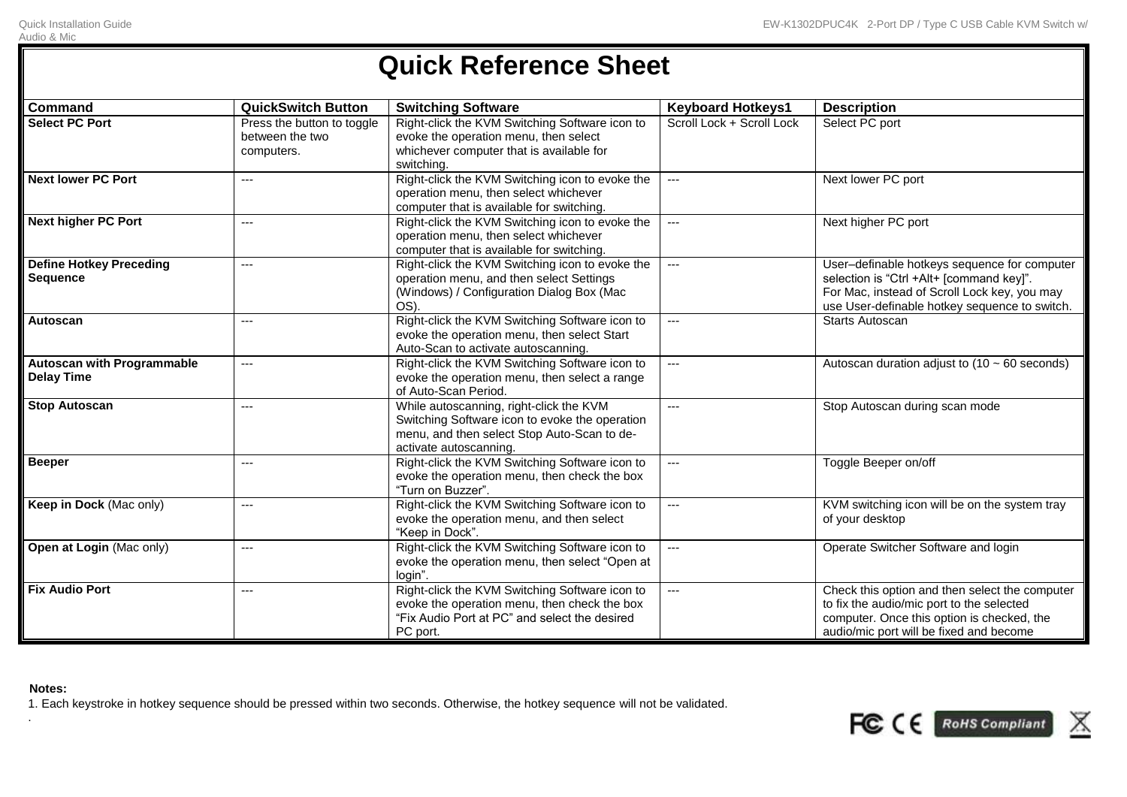# **Quick Reference Sheet**

| <b>Command</b>                                         | <b>QuickSwitch Button</b>                                   | <b>Switching Software</b>                                                                                                                                          | <b>Keyboard Hotkeys1</b>  | <b>Description</b>                                                                                                                                                                        |
|--------------------------------------------------------|-------------------------------------------------------------|--------------------------------------------------------------------------------------------------------------------------------------------------------------------|---------------------------|-------------------------------------------------------------------------------------------------------------------------------------------------------------------------------------------|
| <b>Select PC Port</b>                                  | Press the button to toggle<br>between the two<br>computers. | Right-click the KVM Switching Software icon to<br>evoke the operation menu, then select<br>whichever computer that is available for<br>switching.                  | Scroll Lock + Scroll Lock | Select PC port                                                                                                                                                                            |
| <b>Next lower PC Port</b>                              | $---$                                                       | Right-click the KVM Switching icon to evoke the<br>operation menu, then select whichever<br>computer that is available for switching.                              | ---                       | Next lower PC port                                                                                                                                                                        |
| <b>Next higher PC Port</b>                             | $---$                                                       | Right-click the KVM Switching icon to evoke the<br>operation menu, then select whichever<br>computer that is available for switching.                              | $---$                     | Next higher PC port                                                                                                                                                                       |
| <b>Define Hotkey Preceding</b><br><b>Sequence</b>      | $---$                                                       | Right-click the KVM Switching icon to evoke the<br>operation menu, and then select Settings<br>(Windows) / Configuration Dialog Box (Mac<br>OS).                   | $---$                     | User-definable hotkeys sequence for computer<br>selection is "Ctrl +Alt+ [command key]".<br>For Mac, instead of Scroll Lock key, you may<br>use User-definable hotkey sequence to switch. |
| Autoscan                                               | $---$                                                       | Right-click the KVM Switching Software icon to<br>evoke the operation menu, then select Start<br>Auto-Scan to activate autoscanning.                               | $---$                     | <b>Starts Autoscan</b>                                                                                                                                                                    |
| <b>Autoscan with Programmable</b><br><b>Delay Time</b> | $---$                                                       | Right-click the KVM Switching Software icon to<br>evoke the operation menu, then select a range<br>of Auto-Scan Period.                                            | $---$                     | Autoscan duration adjust to $(10 \sim 60$ seconds)                                                                                                                                        |
| <b>Stop Autoscan</b>                                   | $---$                                                       | While autoscanning, right-click the KVM<br>Switching Software icon to evoke the operation<br>menu, and then select Stop Auto-Scan to de-<br>activate autoscanning. | $---$                     | Stop Autoscan during scan mode                                                                                                                                                            |
| <b>Beeper</b>                                          | $---$                                                       | Right-click the KVM Switching Software icon to<br>evoke the operation menu, then check the box<br>"Turn on Buzzer".                                                | $---$                     | Toggle Beeper on/off                                                                                                                                                                      |
| Keep in Dock (Mac only)                                | $---$                                                       | Right-click the KVM Switching Software icon to<br>evoke the operation menu, and then select<br>"Keep in Dock".                                                     | ---                       | KVM switching icon will be on the system tray<br>of your desktop                                                                                                                          |
| Open at Login (Mac only)                               | $---$                                                       | Right-click the KVM Switching Software icon to<br>evoke the operation menu, then select "Open at<br>login".                                                        | ---                       | Operate Switcher Software and login                                                                                                                                                       |
| <b>Fix Audio Port</b>                                  | $---$                                                       | Right-click the KVM Switching Software icon to<br>evoke the operation menu, then check the box<br>"Fix Audio Port at PC" and select the desired<br>PC port.        | $---$                     | Check this option and then select the computer<br>to fix the audio/mic port to the selected<br>computer. Once this option is checked, the<br>audio/mic port will be fixed and become      |

### **Notes:**

.

1. Each keystroke in hotkey sequence should be pressed within two seconds. Otherwise, the hotkey sequence will not be validated.